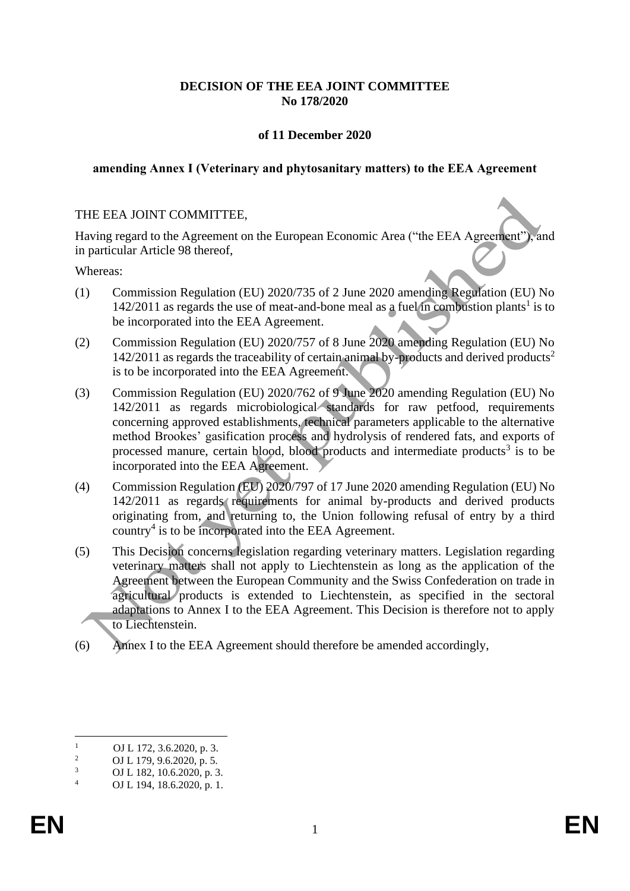### **DECISION OF THE EEA JOINT COMMITTEE No 178/2020**

#### **of 11 December 2020**

#### **amending Annex I (Veterinary and phytosanitary matters) to the EEA Agreement**

#### THE EEA JOINT COMMITTEE,

Having regard to the Agreement on the European Economic Area ("the EEA Agreement"), and in particular Article 98 thereof,

Whereas:

- (1) Commission Regulation (EU) 2020/735 of 2 June 2020 amending Regulation (EU) No  $142/2011$  as regards the use of meat-and-bone meal as a fuel in combustion plants<sup>1</sup> is to be incorporated into the EEA Agreement.
- (2) Commission Regulation (EU) 2020/757 of 8 June 2020 amending Regulation (EU) No  $142/2011$  as regards the traceability of certain animal by-products and derived products<sup>2</sup> is to be incorporated into the EEA Agreement.
- (3) Commission Regulation (EU) 2020/762 of 9 June 2020 amending Regulation (EU) No 142/2011 as regards microbiological standards for raw petfood, requirements concerning approved establishments, technical parameters applicable to the alternative method Brookes' gasification process and hydrolysis of rendered fats, and exports of processed manure, certain blood, blood products and intermediate products<sup>3</sup> is to be incorporated into the EEA Agreement.
- (4) Commission Regulation (EU) 2020/797 of 17 June 2020 amending Regulation (EU) No 142/2011 as regards requirements for animal by-products and derived products originating from, and returning to, the Union following refusal of entry by a third country<sup>4</sup> is to be incorporated into the EEA Agreement.
- (5) This Decision concerns legislation regarding veterinary matters. Legislation regarding veterinary matters shall not apply to Liechtenstein as long as the application of the Agreement between the European Community and the Swiss Confederation on trade in agricultural products is extended to Liechtenstein, as specified in the sectoral adaptations to Annex I to the EEA Agreement. This Decision is therefore not to apply to Liechtenstein.
- (6) Annex I to the EEA Agreement should therefore be amended accordingly,

 $\frac{1}{2}$  OJ L 172, 3.6.2020, p. 3.

<sup>&</sup>lt;sup>2</sup> OJ L 179, 9.6.2020, p. 5.<br><sup>3</sup> OJ L 182, 10.6.2020, p. 3

 $\frac{3}{4}$  OJ L 182, 10.6.2020, p. 3. OJ L 194, 18.6.2020, p. 1.